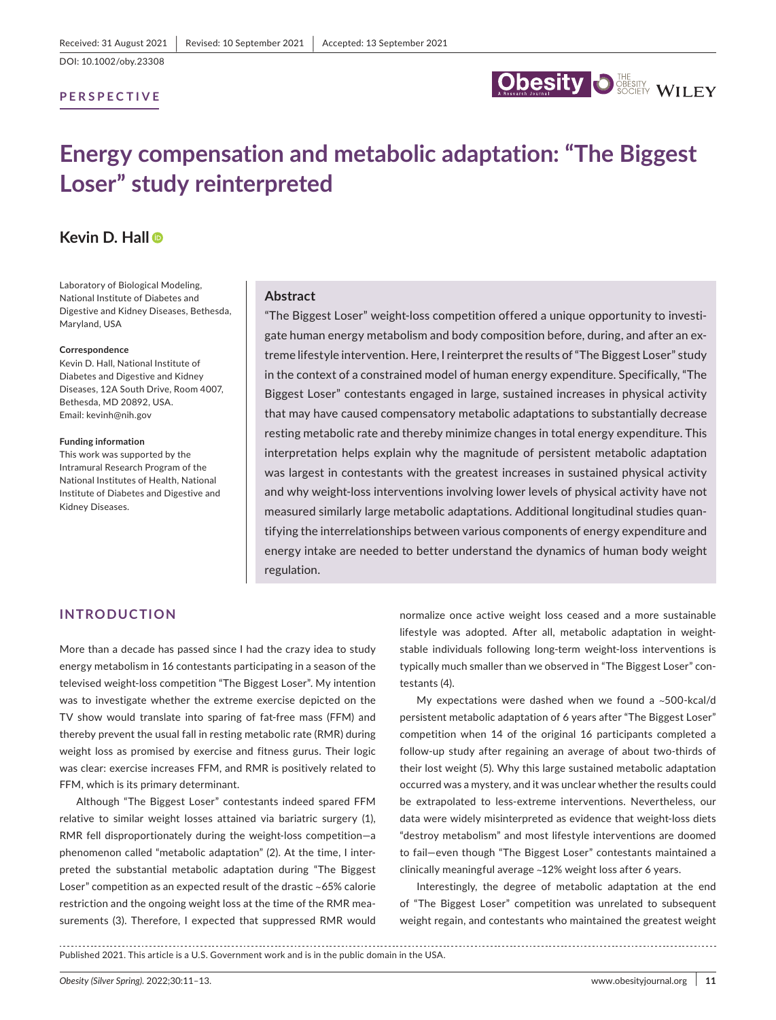DOI: 10.1002/oby.23308

### **PERSPECTIVE**



# **Energy compensation and metabolic adaptation: "The Biggest Loser" study reinterpreted**

# **Kevin D. Hall**

Laboratory of Biological Modeling, National Institute of Diabetes and Digestive and Kidney Diseases, Bethesda, Maryland, USA

#### **Correspondence**

Kevin D. Hall, National Institute of Diabetes and Digestive and Kidney Diseases, 12A South Drive, Room 4007, Bethesda, MD 20892, USA. Email: kevinh@nih.gov

#### **Funding information**

This work was supported by the Intramural Research Program of the National Institutes of Health, National Institute of Diabetes and Digestive and Kidney Diseases.

#### **Abstract**

"The Biggest Loser" weight- loss competition offered a unique opportunity to investigate human energy metabolism and body composition before, during, and after an extreme lifestyle intervention. Here, I reinterpret the results of "The Biggest Loser" study in the context of a constrained model of human energy expenditure. Specifically, "The Biggest Loser" contestants engaged in large, sustained increases in physical activity that may have caused compensatory metabolic adaptations to substantially decrease resting metabolic rate and thereby minimize changes in total energy expenditure. This interpretation helps explain why the magnitude of persistent metabolic adaptation was largest in contestants with the greatest increases in sustained physical activity and why weight-loss interventions involving lower levels of physical activity have not measured similarly large metabolic adaptations. Additional longitudinal studies quantifying the interrelationships between various components of energy expenditure and energy intake are needed to better understand the dynamics of human body weight regulation.

## **INTRODUCTION**

More than a decade has passed since I had the crazy idea to study energy metabolism in 16 contestants participating in a season of the televised weight-loss competition "The Biggest Loser". My intention was to investigate whether the extreme exercise depicted on the TV show would translate into sparing of fat- free mass (FFM) and thereby prevent the usual fall in resting metabolic rate (RMR) during weight loss as promised by exercise and fitness gurus. Their logic was clear: exercise increases FFM, and RMR is positively related to FFM, which is its primary determinant.

Although "The Biggest Loser" contestants indeed spared FFM relative to similar weight losses attained via bariatric surgery (1), RMR fell disproportionately during the weight-loss competition-a phenomenon called "metabolic adaptation" (2). At the time, I interpreted the substantial metabolic adaptation during "The Biggest Loser" competition as an expected result of the drastic ~65% calorie restriction and the ongoing weight loss at the time of the RMR measurements (3). Therefore, I expected that suppressed RMR would normalize once active weight loss ceased and a more sustainable lifestyle was adopted. After all, metabolic adaptation in weightstable individuals following long-term weight-loss interventions is typically much smaller than we observed in "The Biggest Loser" contestants (4).

My expectations were dashed when we found a  $\sim$  500-kcal/d persistent metabolic adaptation of 6 years after "The Biggest Loser" competition when 14 of the original 16 participants completed a follow-up study after regaining an average of about two-thirds of their lost weight (5). Why this large sustained metabolic adaptation occurred was a mystery, and it was unclear whether the results could be extrapolated to less-extreme interventions. Nevertheless, our data were widely misinterpreted as evidence that weight-loss diets "destroy metabolism" and most lifestyle interventions are doomed to fail— even though "The Biggest Loser" contestants maintained a clinically meaningful average ~12% weight loss after 6 years.

Interestingly, the degree of metabolic adaptation at the end of "The Biggest Loser" competition was unrelated to subsequent weight regain, and contestants who maintained the greatest weight

Published 2021. This article is a U.S. Government work and is in the public domain in the USA.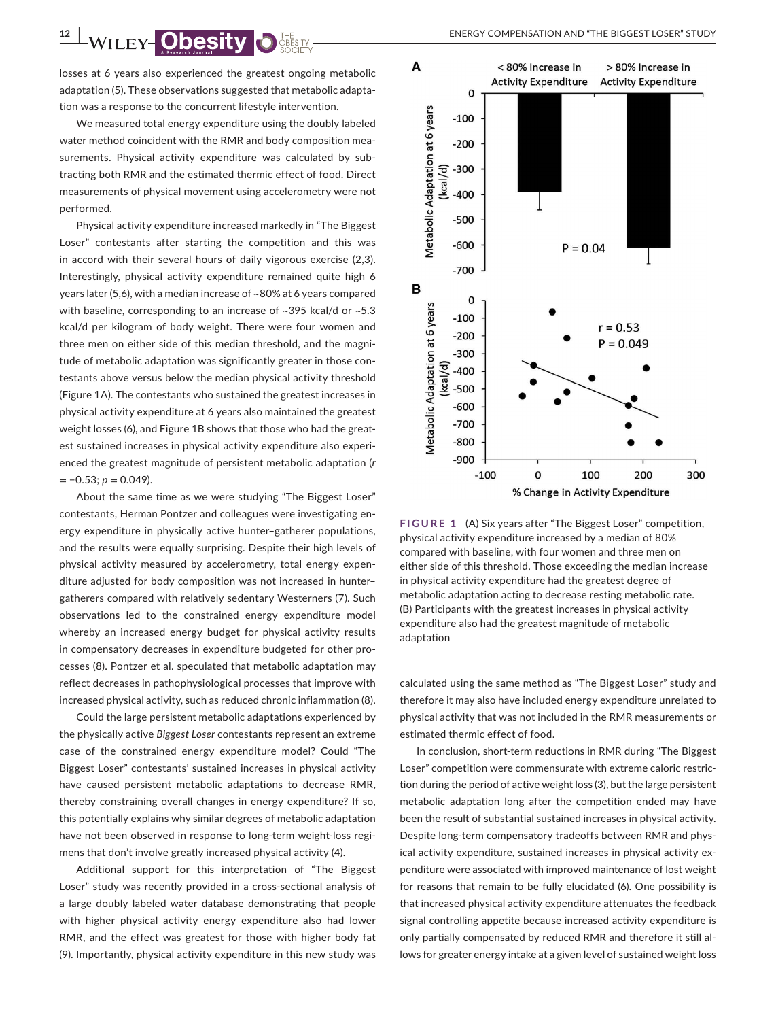losses at 6 years also experienced the greatest ongoing metabolic adaptation (5). These observations suggested that metabolic adaptation was a response to the concurrent lifestyle intervention.

We measured total energy expenditure using the doubly labeled water method coincident with the RMR and body composition measurements. Physical activity expenditure was calculated by subtracting both RMR and the estimated thermic effect of food. Direct measurements of physical movement using accelerometry were not performed.

Physical activity expenditure increased markedly in "The Biggest Loser" contestants after starting the competition and this was in accord with their several hours of daily vigorous exercise (2,3). Interestingly, physical activity expenditure remained quite high 6 years later (5,6), with a median increase of ~80% at 6 years compared with baseline, corresponding to an increase of ~395 kcal/d or ~5.3 kcal/d per kilogram of body weight. There were four women and three men on either side of this median threshold, and the magnitude of metabolic adaptation was significantly greater in those contestants above versus below the median physical activity threshold (Figure 1A). The contestants who sustained the greatest increases in physical activity expenditure at 6 years also maintained the greatest weight losses (6), and Figure 1B shows that those who had the greatest sustained increases in physical activity expenditure also experienced the greatest magnitude of persistent metabolic adaptation (*r*  $= -0.53$ ;  $p = 0.049$ ).

About the same time as we were studying "The Biggest Loser" contestants, Herman Pontzer and colleagues were investigating energy expenditure in physically active hunter-gatherer populations, and the results were equally surprising. Despite their high levels of physical activity measured by accelerometry, total energy expenditure adjusted for body composition was not increased in hunter– gatherers compared with relatively sedentary Westerners (7). Such observations led to the constrained energy expenditure model whereby an increased energy budget for physical activity results in compensatory decreases in expenditure budgeted for other processes (8). Pontzer et al. speculated that metabolic adaptation may reflect decreases in pathophysiological processes that improve with increased physical activity, such as reduced chronic inflammation (8).

Could the large persistent metabolic adaptations experienced by the physically active *Biggest Loser* contestants represent an extreme case of the constrained energy expenditure model? Could "The Biggest Loser" contestants' sustained increases in physical activity have caused persistent metabolic adaptations to decrease RMR, thereby constraining overall changes in energy expenditure? If so, this potentially explains why similar degrees of metabolic adaptation have not been observed in response to long-term weight-loss regimens that don't involve greatly increased physical activity (4).

Additional support for this interpretation of "The Biggest Loser" study was recently provided in a cross-sectional analysis of a large doubly labeled water database demonstrating that people with higher physical activity energy expenditure also had lower RMR, and the effect was greatest for those with higher body fat (9). Importantly, physical activity expenditure in this new study was



**FIGURE 1** (A) Six years after "The Biggest Loser" competition, physical activity expenditure increased by a median of 80% compared with baseline, with four women and three men on either side of this threshold. Those exceeding the median increase in physical activity expenditure had the greatest degree of metabolic adaptation acting to decrease resting metabolic rate. (B) Participants with the greatest increases in physical activity expenditure also had the greatest magnitude of metabolic adaptation

calculated using the same method as "The Biggest Loser" study and therefore it may also have included energy expenditure unrelated to physical activity that was not included in the RMR measurements or estimated thermic effect of food.

In conclusion, short-term reductions in RMR during "The Biggest Loser" competition were commensurate with extreme caloric restriction during the period of active weight loss (3), but the large persistent metabolic adaptation long after the competition ended may have been the result of substantial sustained increases in physical activity. Despite long-term compensatory tradeoffs between RMR and physical activity expenditure, sustained increases in physical activity expenditure were associated with improved maintenance of lost weight for reasons that remain to be fully elucidated (6). One possibility is that increased physical activity expenditure attenuates the feedback signal controlling appetite because increased activity expenditure is only partially compensated by reduced RMR and therefore it still allows for greater energy intake at a given level of sustained weight loss